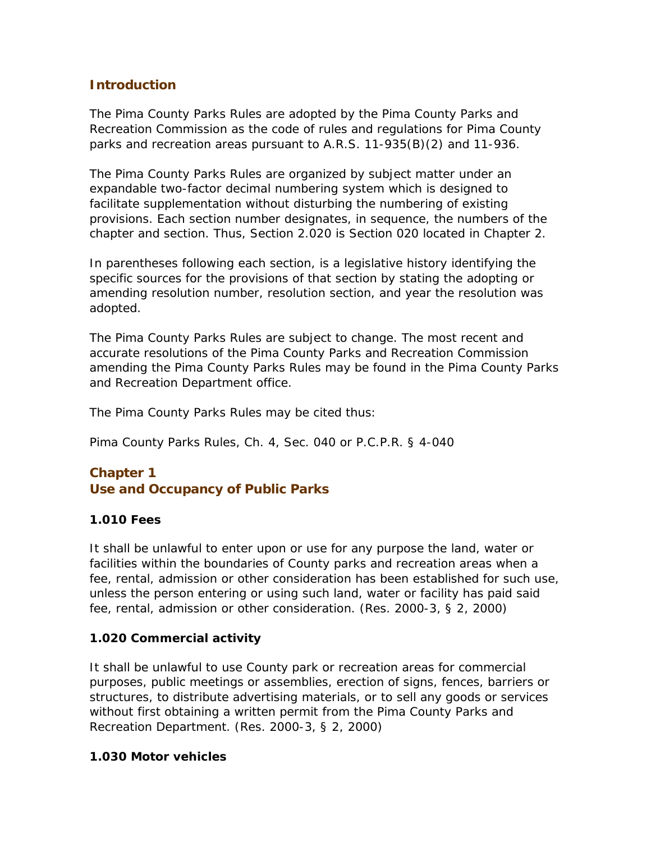# **Introduction**

The Pima County Parks Rules are adopted by the Pima County Parks and Recreation Commission as the code of rules and regulations for Pima County parks and recreation areas pursuant to A.R.S. 11-935(B)(2) and 11-936.

The Pima County Parks Rules are organized by subject matter under an expandable two-factor decimal numbering system which is designed to facilitate supplementation without disturbing the numbering of existing provisions. Each section number designates, in sequence, the numbers of the chapter and section. Thus, Section 2.020 is Section 020 located in Chapter 2.

In parentheses following each section, is a legislative history identifying the specific sources for the provisions of that section by stating the adopting or amending resolution number, resolution section, and year the resolution was adopted.

The Pima County Parks Rules are subject to change. The most recent and accurate resolutions of the Pima County Parks and Recreation Commission amending the Pima County Parks Rules may be found in the Pima County Parks and Recreation Department office.

The Pima County Parks Rules may be cited thus:

Pima County Parks Rules, Ch. 4, Sec. 040 or P.C.P.R. § 4-040

# **Chapter 1 Use and Occupancy of Public Parks**

### **1.010 Fees**

It shall be unlawful to enter upon or use for any purpose the land, water or facilities within the boundaries of County parks and recreation areas when a fee, rental, admission or other consideration has been established for such use, unless the person entering or using such land, water or facility has paid said fee, rental, admission or other consideration. (Res. 2000-3, § 2, 2000)

### **1.020 Commercial activity**

It shall be unlawful to use County park or recreation areas for commercial purposes, public meetings or assemblies, erection of signs, fences, barriers or structures, to distribute advertising materials, or to sell any goods or services without first obtaining a written permit from the Pima County Parks and Recreation Department. (Res. 2000-3, § 2, 2000)

#### **1.030 Motor vehicles**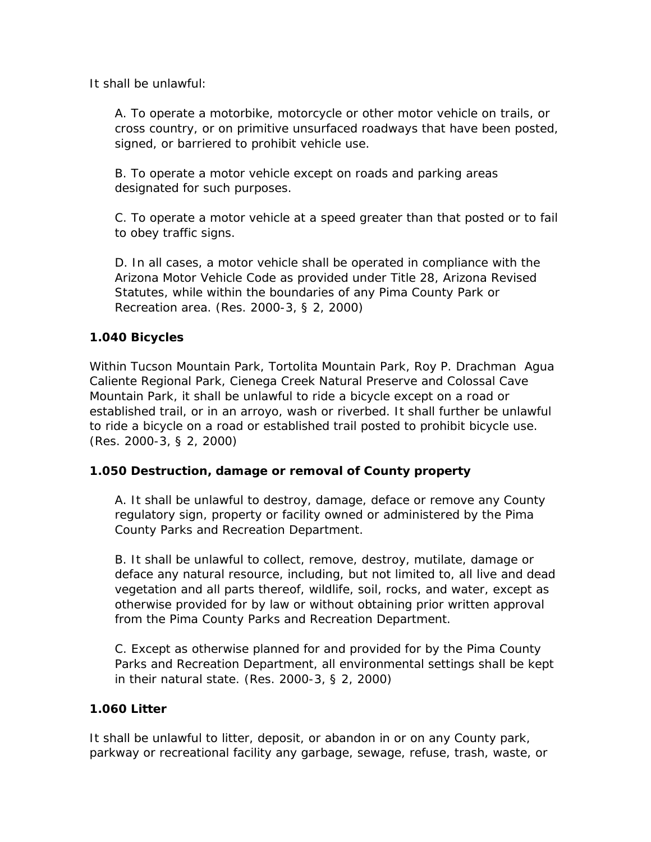It shall be unlawful:

A. To operate a motorbike, motorcycle or other motor vehicle on trails, or cross country, or on primitive unsurfaced roadways that have been posted, signed, or barriered to prohibit vehicle use.

B. To operate a motor vehicle except on roads and parking areas designated for such purposes.

C. To operate a motor vehicle at a speed greater than that posted or to fail to obey traffic signs.

D. In all cases, a motor vehicle shall be operated in compliance with the Arizona Motor Vehicle Code as provided under Title 28, Arizona Revised Statutes, while within the boundaries of any Pima County Park or Recreation area. (Res. 2000-3, § 2, 2000)

# **1.040 Bicycles**

Within Tucson Mountain Park, Tortolita Mountain Park, Roy P. Drachman Agua Caliente Regional Park, Cienega Creek Natural Preserve and Colossal Cave Mountain Park, it shall be unlawful to ride a bicycle except on a road or established trail, or in an arroyo, wash or riverbed. It shall further be unlawful to ride a bicycle on a road or established trail posted to prohibit bicycle use. (Res. 2000-3, § 2, 2000)

### **1.050 Destruction, damage or removal of County property**

A. It shall be unlawful to destroy, damage, deface or remove any County regulatory sign, property or facility owned or administered by the Pima County Parks and Recreation Department.

B. It shall be unlawful to collect, remove, destroy, mutilate, damage or deface any natural resource, including, but not limited to, all live and dead vegetation and all parts thereof, wildlife, soil, rocks, and water, except as otherwise provided for by law or without obtaining prior written approval from the Pima County Parks and Recreation Department.

C. Except as otherwise planned for and provided for by the Pima County Parks and Recreation Department, all environmental settings shall be kept in their natural state. (Res. 2000-3, § 2, 2000)

### **1.060 Litter**

It shall be unlawful to litter, deposit, or abandon in or on any County park, parkway or recreational facility any garbage, sewage, refuse, trash, waste, or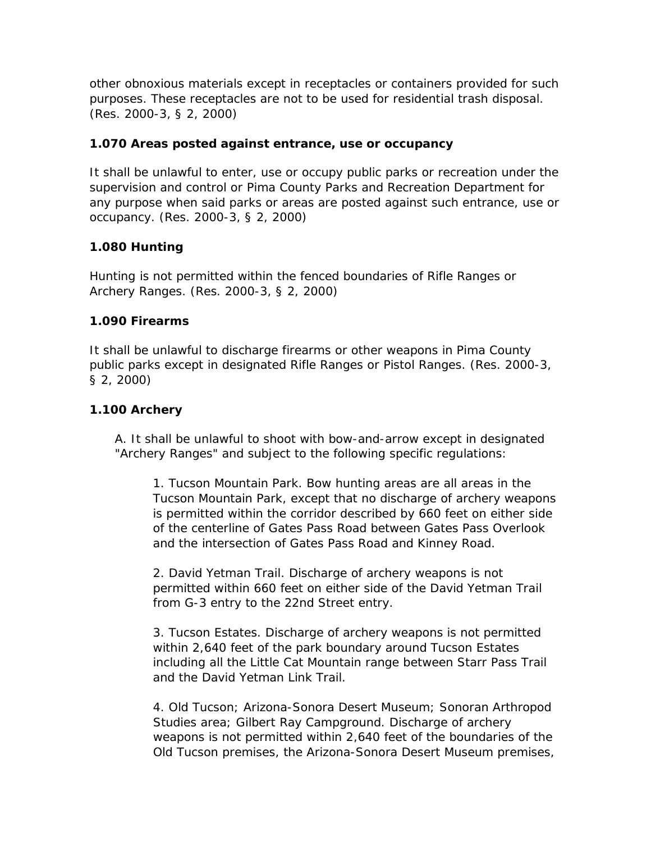other obnoxious materials except in receptacles or containers provided for such purposes. These receptacles are not to be used for residential trash disposal. (Res. 2000-3, § 2, 2000)

## **1.070 Areas posted against entrance, use or occupancy**

It shall be unlawful to enter, use or occupy public parks or recreation under the supervision and control or Pima County Parks and Recreation Department for any purpose when said parks or areas are posted against such entrance, use or occupancy. (Res. 2000-3, § 2, 2000)

# **1.080 Hunting**

Hunting is not permitted within the fenced boundaries of Rifle Ranges or Archery Ranges. (Res. 2000-3, § 2, 2000)

# **1.090 Firearms**

It shall be unlawful to discharge firearms or other weapons in Pima County public parks except in designated Rifle Ranges or Pistol Ranges. (Res. 2000-3, § 2, 2000)

# **1.100 Archery**

A. It shall be unlawful to shoot with bow-and-arrow except in designated "Archery Ranges" and subject to the following specific regulations:

1. Tucson Mountain Park. Bow hunting areas are all areas in the Tucson Mountain Park, except that no discharge of archery weapons is permitted within the corridor described by 660 feet on either side of the centerline of Gates Pass Road between Gates Pass Overlook and the intersection of Gates Pass Road and Kinney Road.

2. David Yetman Trail. Discharge of archery weapons is not permitted within 660 feet on either side of the David Yetman Trail from G-3 entry to the 22nd Street entry.

3. Tucson Estates. Discharge of archery weapons is not permitted within 2,640 feet of the park boundary around Tucson Estates including all the Little Cat Mountain range between Starr Pass Trail and the David Yetman Link Trail.

4. Old Tucson; Arizona-Sonora Desert Museum; Sonoran Arthropod Studies area; Gilbert Ray Campground. Discharge of archery weapons is not permitted within 2,640 feet of the boundaries of the Old Tucson premises, the Arizona-Sonora Desert Museum premises,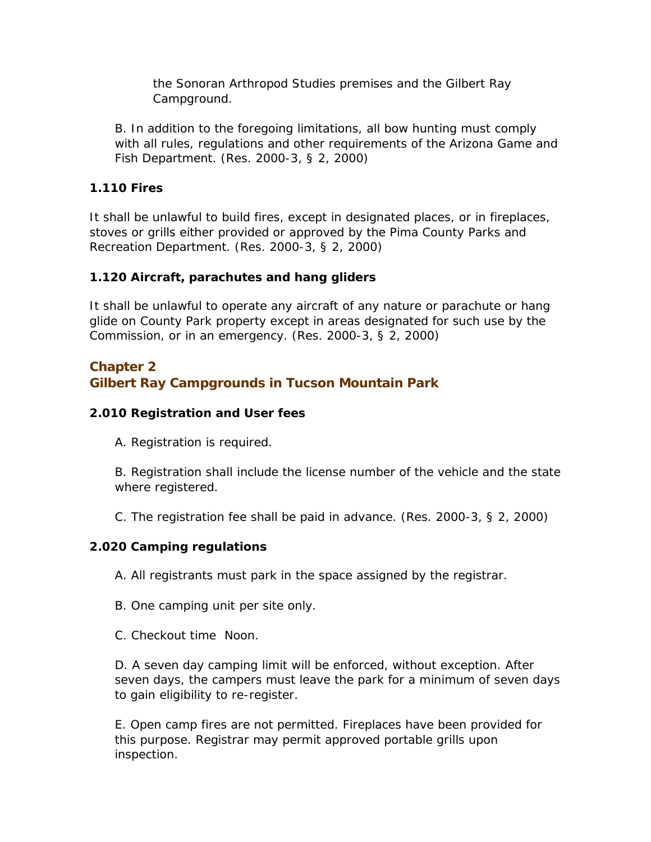the Sonoran Arthropod Studies premises and the Gilbert Ray Campground.

B. In addition to the foregoing limitations, all bow hunting must comply with all rules, regulations and other requirements of the Arizona Game and Fish Department. (Res. 2000-3, § 2, 2000)

## **1.110 Fires**

It shall be unlawful to build fires, except in designated places, or in fireplaces, stoves or grills either provided or approved by the Pima County Parks and Recreation Department. (Res. 2000-3, § 2, 2000)

# **1.120 Aircraft, parachutes and hang gliders**

It shall be unlawful to operate any aircraft of any nature or parachute or hang glide on County Park property except in areas designated for such use by the Commission, or in an emergency. (Res. 2000-3, § 2, 2000)

# **Chapter 2 Gilbert Ray Campgrounds in Tucson Mountain Park**

# **2.010 Registration and User fees**

A. Registration is required.

B. Registration shall include the license number of the vehicle and the state where registered.

C. The registration fee shall be paid in advance. (Res. 2000-3, § 2, 2000)

# **2.020 Camping regulations**

A. All registrants must park in the space assigned by the registrar.

B. One camping unit per site only.

C. Checkout time Noon.

D. A seven day camping limit will be enforced, without exception. After seven days, the campers must leave the park for a minimum of seven days to gain eligibility to re-register.

E. Open camp fires are not permitted. Fireplaces have been provided for this purpose. Registrar may permit approved portable grills upon inspection.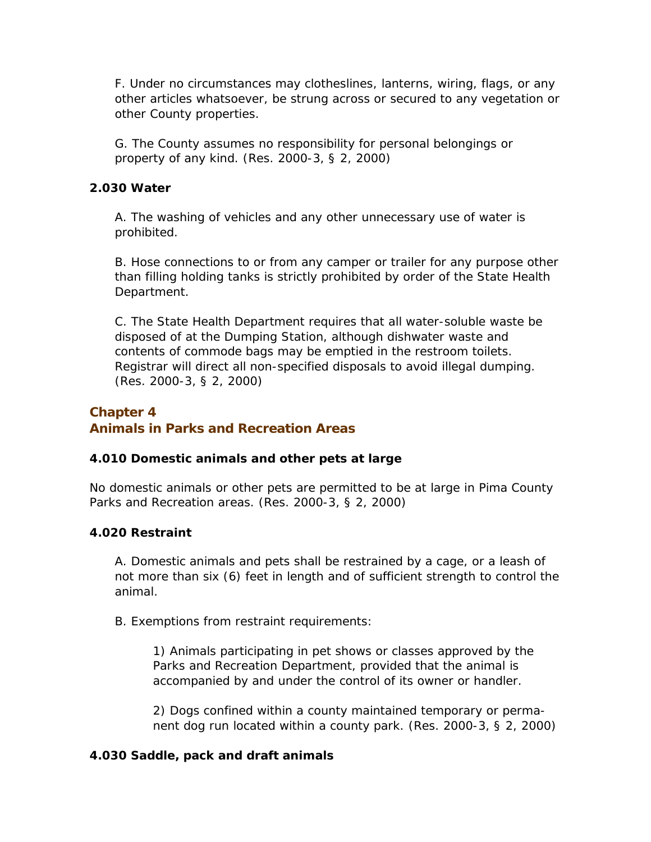F. Under no circumstances may clotheslines, lanterns, wiring, flags, or any other articles whatsoever, be strung across or secured to any vegetation or other County properties.

G. The County assumes no responsibility for personal belongings or property of any kind. (Res. 2000-3, § 2, 2000)

#### **2.030 Water**

A. The washing of vehicles and any other unnecessary use of water is prohibited.

B. Hose connections to or from any camper or trailer for any purpose other than filling holding tanks is strictly prohibited by order of the State Health Department.

C. The State Health Department requires that all water-soluble waste be disposed of at the Dumping Station, although dishwater waste and contents of commode bags may be emptied in the restroom toilets. Registrar will direct all non-specified disposals to avoid illegal dumping. (Res. 2000-3, § 2, 2000)

# **Chapter 4 Animals in Parks and Recreation Areas**

### **4.010 Domestic animals and other pets at large**

No domestic animals or other pets are permitted to be at large in Pima County Parks and Recreation areas. (Res. 2000-3, § 2, 2000)

### **4.020 Restraint**

A. Domestic animals and pets shall be restrained by a cage, or a leash of not more than six (6) feet in length and of sufficient strength to control the animal.

B. Exemptions from restraint requirements:

1) Animals participating in pet shows or classes approved by the Parks and Recreation Department, provided that the animal is accompanied by and under the control of its owner or handler.

2) Dogs confined within a county maintained temporary or permanent dog run located within a county park. (Res. 2000-3, § 2, 2000)

#### **4.030 Saddle, pack and draft animals**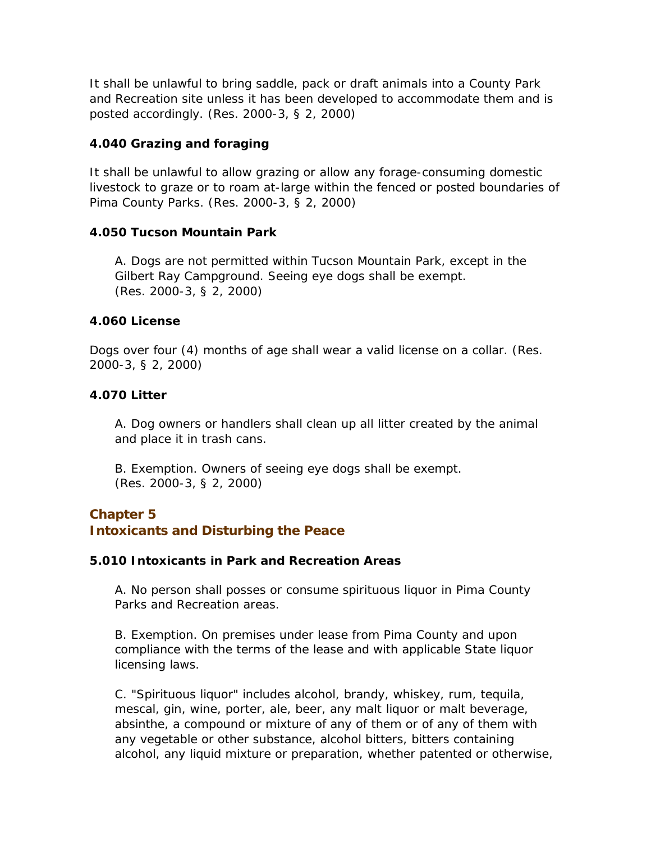It shall be unlawful to bring saddle, pack or draft animals into a County Park and Recreation site unless it has been developed to accommodate them and is posted accordingly. (Res. 2000-3, § 2, 2000)

### **4.040 Grazing and foraging**

It shall be unlawful to allow grazing or allow any forage-consuming domestic livestock to graze or to roam at-large within the fenced or posted boundaries of Pima County Parks. (Res. 2000-3, § 2, 2000)

#### **4.050 Tucson Mountain Park**

A. Dogs are not permitted within Tucson Mountain Park, except in the Gilbert Ray Campground. Seeing eye dogs shall be exempt. (Res. 2000-3, § 2, 2000)

#### **4.060 License**

Dogs over four (4) months of age shall wear a valid license on a collar. (Res. 2000-3, § 2, 2000)

#### **4.070 Litter**

A. Dog owners or handlers shall clean up all litter created by the animal and place it in trash cans.

B. Exemption. Owners of seeing eye dogs shall be exempt. (Res. 2000-3, § 2, 2000)

### **Chapter 5 Intoxicants and Disturbing the Peace**

#### **5.010 Intoxicants in Park and Recreation Areas**

A. No person shall posses or consume spirituous liquor in Pima County Parks and Recreation areas.

B. Exemption. On premises under lease from Pima County and upon compliance with the terms of the lease and with applicable State liquor licensing laws.

C. "Spirituous liquor" includes alcohol, brandy, whiskey, rum, tequila, mescal, gin, wine, porter, ale, beer, any malt liquor or malt beverage, absinthe, a compound or mixture of any of them or of any of them with any vegetable or other substance, alcohol bitters, bitters containing alcohol, any liquid mixture or preparation, whether patented or otherwise,